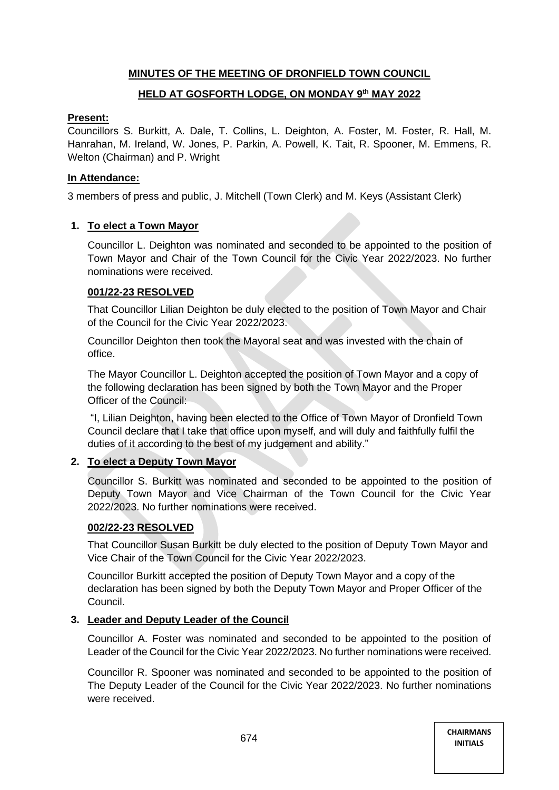# **MINUTES OF THE MEETING OF DRONFIELD TOWN COUNCIL**

# **HELD AT GOSFORTH LODGE, ON MONDAY 9 th MAY 2022**

### **Present:**

Councillors S. Burkitt, A. Dale, T. Collins, L. Deighton, A. Foster, M. Foster, R. Hall, M. Hanrahan, M. Ireland, W. Jones, P. Parkin, A. Powell, K. Tait, R. Spooner, M. Emmens, R. Welton (Chairman) and P. Wright

# **In Attendance:**

3 members of press and public, J. Mitchell (Town Clerk) and M. Keys (Assistant Clerk)

# **1. To elect a Town Mayor**

Councillor L. Deighton was nominated and seconded to be appointed to the position of Town Mayor and Chair of the Town Council for the Civic Year 2022/2023. No further nominations were received.

# **001/22-23 RESOLVED**

That Councillor Lilian Deighton be duly elected to the position of Town Mayor and Chair of the Council for the Civic Year 2022/2023.

Councillor Deighton then took the Mayoral seat and was invested with the chain of office.

The Mayor Councillor L. Deighton accepted the position of Town Mayor and a copy of the following declaration has been signed by both the Town Mayor and the Proper Officer of the Council:

"I, Lilian Deighton, having been elected to the Office of Town Mayor of Dronfield Town Council declare that I take that office upon myself, and will duly and faithfully fulfil the duties of it according to the best of my judgement and ability."

# **2. To elect a Deputy Town Mayor**

Councillor S. Burkitt was nominated and seconded to be appointed to the position of Deputy Town Mayor and Vice Chairman of the Town Council for the Civic Year 2022/2023. No further nominations were received.

# **002/22-23 RESOLVED**

That Councillor Susan Burkitt be duly elected to the position of Deputy Town Mayor and Vice Chair of the Town Council for the Civic Year 2022/2023.

Councillor Burkitt accepted the position of Deputy Town Mayor and a copy of the declaration has been signed by both the Deputy Town Mayor and Proper Officer of the Council.

# **3. Leader and Deputy Leader of the Council**

Councillor A. Foster was nominated and seconded to be appointed to the position of Leader of the Council for the Civic Year 2022/2023. No further nominations were received.

Councillor R. Spooner was nominated and seconded to be appointed to the position of The Deputy Leader of the Council for the Civic Year 2022/2023. No further nominations were received.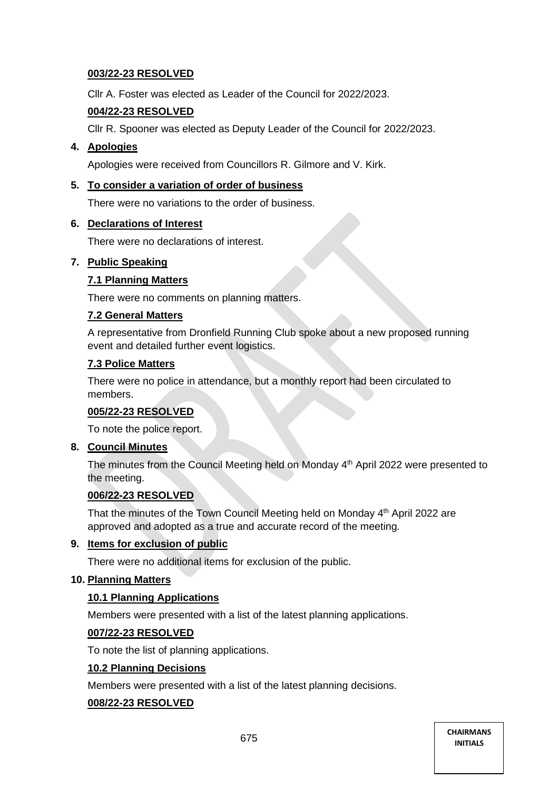# **003/22-23 RESOLVED**

Cllr A. Foster was elected as Leader of the Council for 2022/2023.

# **004/22-23 RESOLVED**

Cllr R. Spooner was elected as Deputy Leader of the Council for 2022/2023.

# **4. Apologies**

Apologies were received from Councillors R. Gilmore and V. Kirk.

# **5. To consider a variation of order of business**

There were no variations to the order of business.

### **6. Declarations of Interest**

There were no declarations of interest.

# **7. Public Speaking**

### **7.1 Planning Matters**

There were no comments on planning matters.

### **7.2 General Matters**

A representative from Dronfield Running Club spoke about a new proposed running event and detailed further event logistics.

### **7.3 Police Matters**

There were no police in attendance, but a monthly report had been circulated to members.

### **005/22-23 RESOLVED**

To note the police report.

### **8. Council Minutes**

The minutes from the Council Meeting held on Monday 4<sup>th</sup> April 2022 were presented to the meeting.

### **006/22-23 RESOLVED**

That the minutes of the Town Council Meeting held on Monday 4<sup>th</sup> April 2022 are approved and adopted as a true and accurate record of the meeting.

### **9. Items for exclusion of public**

There were no additional items for exclusion of the public.

# **10. Planning Matters**

### **10.1 Planning Applications**

Members were presented with a list of the latest planning applications.

### **007/22-23 RESOLVED**

To note the list of planning applications.

### **10.2 Planning Decisions**

Members were presented with a list of the latest planning decisions.

### **008/22-23 RESOLVED**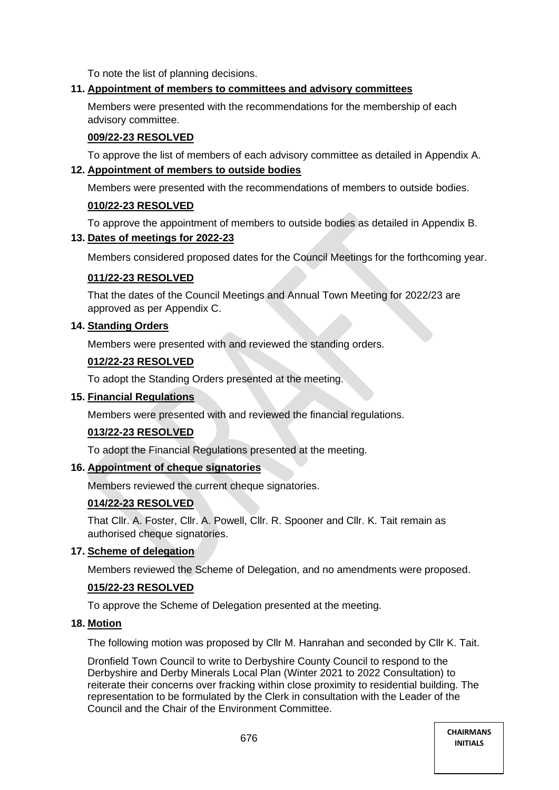To note the list of planning decisions.

# **11. Appointment of members to committees and advisory committees**

Members were presented with the recommendations for the membership of each advisory committee.

# **009/22-23 RESOLVED**

To approve the list of members of each advisory committee as detailed in Appendix A.

# **12. Appointment of members to outside bodies**

Members were presented with the recommendations of members to outside bodies.

# **010/22-23 RESOLVED**

To approve the appointment of members to outside bodies as detailed in Appendix B.

### **13. Dates of meetings for 2022-23**

Members considered proposed dates for the Council Meetings for the forthcoming year.

# **011/22-23 RESOLVED**

That the dates of the Council Meetings and Annual Town Meeting for 2022/23 are approved as per Appendix C.

# **14. Standing Orders**

Members were presented with and reviewed the standing orders.

# **012/22-23 RESOLVED**

To adopt the Standing Orders presented at the meeting.

### **15. Financial Regulations**

Members were presented with and reviewed the financial regulations.

# **013/22-23 RESOLVED**

To adopt the Financial Regulations presented at the meeting.

### **16. Appointment of cheque signatories**

Members reviewed the current cheque signatories.

# **014/22-23 RESOLVED**

That Cllr. A. Foster, Cllr. A. Powell, Cllr. R. Spooner and Cllr. K. Tait remain as authorised cheque signatories.

### **17. Scheme of delegation**

Members reviewed the Scheme of Delegation, and no amendments were proposed.

# **015/22-23 RESOLVED**

To approve the Scheme of Delegation presented at the meeting.

### **18. Motion**

The following motion was proposed by Cllr M. Hanrahan and seconded by Cllr K. Tait.

Dronfield Town Council to write to Derbyshire County Council to respond to the Derbyshire and Derby Minerals Local Plan (Winter 2021 to 2022 Consultation) to reiterate their concerns over fracking within close proximity to residential building. The representation to be formulated by the Clerk in consultation with the Leader of the Council and the Chair of the Environment Committee.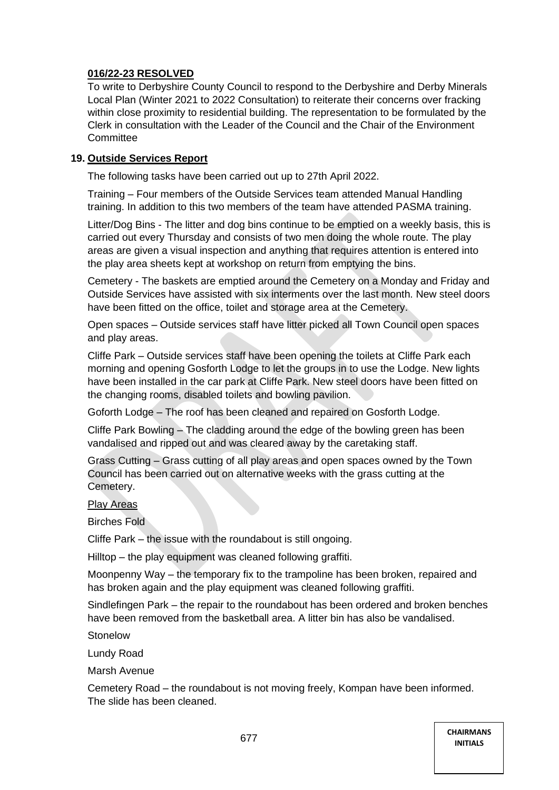# **016/22-23 RESOLVED**

To write to Derbyshire County Council to respond to the Derbyshire and Derby Minerals Local Plan (Winter 2021 to 2022 Consultation) to reiterate their concerns over fracking within close proximity to residential building. The representation to be formulated by the Clerk in consultation with the Leader of the Council and the Chair of the Environment Committee

# **19. Outside Services Report**

The following tasks have been carried out up to 27th April 2022.

Training – Four members of the Outside Services team attended Manual Handling training. In addition to this two members of the team have attended PASMA training.

Litter/Dog Bins - The litter and dog bins continue to be emptied on a weekly basis, this is carried out every Thursday and consists of two men doing the whole route. The play areas are given a visual inspection and anything that requires attention is entered into the play area sheets kept at workshop on return from emptying the bins.

Cemetery - The baskets are emptied around the Cemetery on a Monday and Friday and Outside Services have assisted with six interments over the last month. New steel doors have been fitted on the office, toilet and storage area at the Cemetery.

Open spaces – Outside services staff have litter picked all Town Council open spaces and play areas.

Cliffe Park – Outside services staff have been opening the toilets at Cliffe Park each morning and opening Gosforth Lodge to let the groups in to use the Lodge. New lights have been installed in the car park at Cliffe Park. New steel doors have been fitted on the changing rooms, disabled toilets and bowling pavilion.

Goforth Lodge – The roof has been cleaned and repaired on Gosforth Lodge.

Cliffe Park Bowling – The cladding around the edge of the bowling green has been vandalised and ripped out and was cleared away by the caretaking staff.

Grass Cutting – Grass cutting of all play areas and open spaces owned by the Town Council has been carried out on alternative weeks with the grass cutting at the Cemetery.

### Play Areas

Birches Fold

Cliffe Park – the issue with the roundabout is still ongoing.

Hilltop – the play equipment was cleaned following graffiti.

Moonpenny Way – the temporary fix to the trampoline has been broken, repaired and has broken again and the play equipment was cleaned following graffiti.

Sindlefingen Park – the repair to the roundabout has been ordered and broken benches have been removed from the basketball area. A litter bin has also be vandalised.

Stonelow

Lundy Road

Marsh Avenue

Cemetery Road – the roundabout is not moving freely, Kompan have been informed. The slide has been cleaned.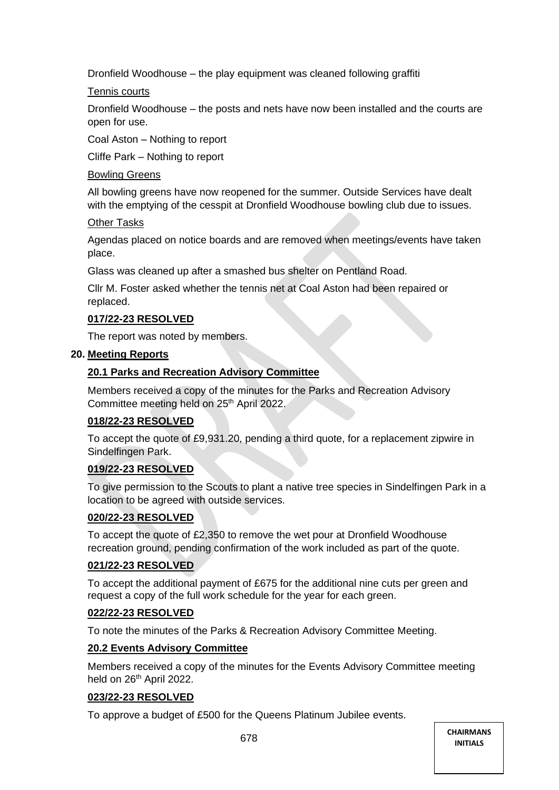Dronfield Woodhouse – the play equipment was cleaned following graffiti

# Tennis courts

Dronfield Woodhouse – the posts and nets have now been installed and the courts are open for use.

Coal Aston – Nothing to report

Cliffe Park – Nothing to report

# Bowling Greens

All bowling greens have now reopened for the summer. Outside Services have dealt with the emptying of the cesspit at Dronfield Woodhouse bowling club due to issues.

### Other Tasks

Agendas placed on notice boards and are removed when meetings/events have taken place.

Glass was cleaned up after a smashed bus shelter on Pentland Road.

Cllr M. Foster asked whether the tennis net at Coal Aston had been repaired or replaced.

# **017/22-23 RESOLVED**

The report was noted by members.

### **20. Meeting Reports**

# **20.1 Parks and Recreation Advisory Committee**

Members received a copy of the minutes for the Parks and Recreation Advisory Committee meeting held on 25<sup>th</sup> April 2022.

# **018/22-23 RESOLVED**

To accept the quote of £9,931.20, pending a third quote, for a replacement zipwire in Sindelfingen Park.

# **019/22-23 RESOLVED**

To give permission to the Scouts to plant a native tree species in Sindelfingen Park in a location to be agreed with outside services.

# **020/22-23 RESOLVED**

To accept the quote of £2,350 to remove the wet pour at Dronfield Woodhouse recreation ground, pending confirmation of the work included as part of the quote.

# **021/22-23 RESOLVED**

To accept the additional payment of £675 for the additional nine cuts per green and request a copy of the full work schedule for the year for each green.

# **022/22-23 RESOLVED**

To note the minutes of the Parks & Recreation Advisory Committee Meeting.

# **20.2 Events Advisory Committee**

Members received a copy of the minutes for the Events Advisory Committee meeting held on 26<sup>th</sup> April 2022.

### **023/22-23 RESOLVED**

To approve a budget of £500 for the Queens Platinum Jubilee events.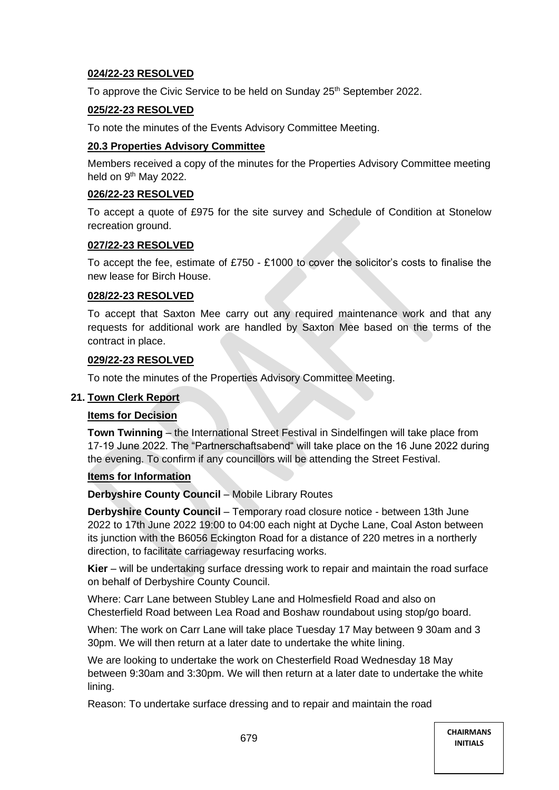# **024/22-23 RESOLVED**

To approve the Civic Service to be held on Sunday 25<sup>th</sup> September 2022.

# **025/22-23 RESOLVED**

To note the minutes of the Events Advisory Committee Meeting.

### **20.3 Properties Advisory Committee**

Members received a copy of the minutes for the Properties Advisory Committee meeting held on 9<sup>th</sup> May 2022.

### **026/22-23 RESOLVED**

To accept a quote of £975 for the site survey and Schedule of Condition at Stonelow recreation ground.

### **027/22-23 RESOLVED**

To accept the fee, estimate of £750 - £1000 to cover the solicitor's costs to finalise the new lease for Birch House.

#### **028/22-23 RESOLVED**

To accept that Saxton Mee carry out any required maintenance work and that any requests for additional work are handled by Saxton Mee based on the terms of the contract in place.

#### **029/22-23 RESOLVED**

To note the minutes of the Properties Advisory Committee Meeting.

#### **21. Town Clerk Report**

### **Items for Decision**

**Town Twinning** – the International Street Festival in Sindelfingen will take place from 17-19 June 2022. The "Partnerschaftsabend" will take place on the 16 June 2022 during the evening. To confirm if any councillors will be attending the Street Festival.

### **Items for Information**

**Derbyshire County Council** – Mobile Library Routes

**Derbyshire County Council** – Temporary road closure notice - between 13th June 2022 to 17th June 2022 19:00 to 04:00 each night at Dyche Lane, Coal Aston between its junction with the B6056 Eckington Road for a distance of 220 metres in a northerly direction, to facilitate carriageway resurfacing works.

**Kier** – will be undertaking surface dressing work to repair and maintain the road surface on behalf of Derbyshire County Council.

Where: Carr Lane between Stubley Lane and Holmesfield Road and also on Chesterfield Road between Lea Road and Boshaw roundabout using stop/go board.

When: The work on Carr Lane will take place Tuesday 17 May between 9 30am and 3 30pm. We will then return at a later date to undertake the white lining.

We are looking to undertake the work on Chesterfield Road Wednesday 18 May between 9:30am and 3:30pm. We will then return at a later date to undertake the white lining.

Reason: To undertake surface dressing and to repair and maintain the road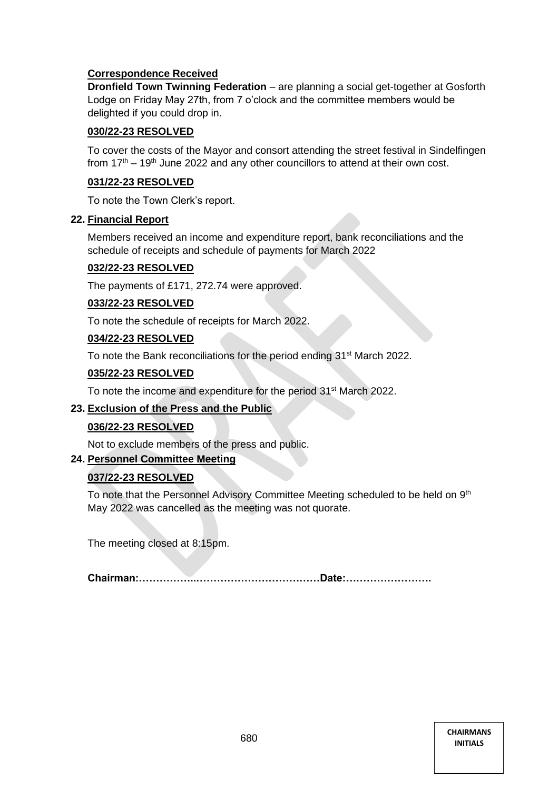# **Correspondence Received**

**Dronfield Town Twinning Federation** – are planning a social get-together at Gosforth Lodge on Friday May 27th, from 7 o'clock and the committee members would be delighted if you could drop in.

# **030/22-23 RESOLVED**

To cover the costs of the Mayor and consort attending the street festival in Sindelfingen from  $17<sup>th</sup> - 19<sup>th</sup>$  June 2022 and any other councillors to attend at their own cost.

# **031/22-23 RESOLVED**

To note the Town Clerk's report.

# **22. Financial Report**

Members received an income and expenditure report, bank reconciliations and the schedule of receipts and schedule of payments for March 2022

# **032/22-23 RESOLVED**

The payments of £171, 272.74 were approved.

# **033/22-23 RESOLVED**

To note the schedule of receipts for March 2022.

# **034/22-23 RESOLVED**

To note the Bank reconciliations for the period ending 31<sup>st</sup> March 2022.

# **035/22-23 RESOLVED**

To note the income and expenditure for the period 31<sup>st</sup> March 2022.

# **23. Exclusion of the Press and the Public**

# **036/22-23 RESOLVED**

Not to exclude members of the press and public.

# **24. Personnel Committee Meeting**

# **037/22-23 RESOLVED**

To note that the Personnel Advisory Committee Meeting scheduled to be held on 9<sup>th</sup> May 2022 was cancelled as the meeting was not quorate.

The meeting closed at 8:15pm.

**Chairman:……………..………………………………Date:…………………….**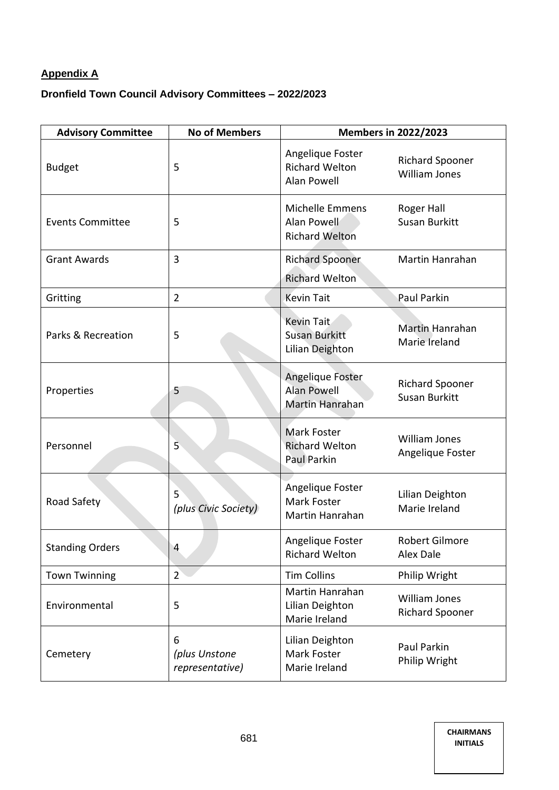# **Appendix A**

# **Dronfield Town Council Advisory Committees – 2022/2023**

| <b>Advisory Committee</b> | <b>No of Members</b>                  | <b>Members in 2022/2023</b>                                     |                                                |  |
|---------------------------|---------------------------------------|-----------------------------------------------------------------|------------------------------------------------|--|
| <b>Budget</b>             | 5                                     | Angelique Foster<br><b>Richard Welton</b><br><b>Alan Powell</b> | <b>Richard Spooner</b><br><b>William Jones</b> |  |
| <b>Events Committee</b>   | 5                                     | Michelle Emmens<br>Alan Powell<br><b>Richard Welton</b>         | <b>Roger Hall</b><br>Susan Burkitt             |  |
| <b>Grant Awards</b>       | 3                                     | <b>Richard Spooner</b><br><b>Richard Welton</b>                 | Martin Hanrahan                                |  |
| Gritting                  | $\overline{2}$                        | <b>Kevin Tait</b>                                               | Paul Parkin                                    |  |
| Parks & Recreation        | 5                                     | Kevin Tait<br><b>Susan Burkitt</b><br><b>Lilian Deighton</b>    | Martin Hanrahan<br>Marie Ireland               |  |
| Properties                | 5                                     | Angelique Foster<br><b>Alan Powell</b><br>Martin Hanrahan       | <b>Richard Spooner</b><br><b>Susan Burkitt</b> |  |
| Personnel                 | 5                                     | <b>Mark Foster</b><br><b>Richard Welton</b><br>Paul Parkin      | <b>William Jones</b><br>Angelique Foster       |  |
| Road Safety               | 5<br>(plus Civic Society)             | Angelique Foster<br>Mark Foster<br>Martin Hanrahan              | Lilian Deighton<br>Marie Ireland               |  |
| <b>Standing Orders</b>    | 4                                     | Angelique Foster<br><b>Richard Welton</b>                       | <b>Robert Gilmore</b><br>Alex Dale             |  |
| <b>Town Twinning</b>      | $2^{1}$                               | <b>Tim Collins</b>                                              | Philip Wright                                  |  |
| Environmental             | 5                                     | Martin Hanrahan<br><b>Lilian Deighton</b><br>Marie Ireland      | <b>William Jones</b><br><b>Richard Spooner</b> |  |
| Cemetery                  | 6<br>(plus Unstone<br>representative) | Lilian Deighton<br>Mark Foster<br>Marie Ireland                 | Paul Parkin<br>Philip Wright                   |  |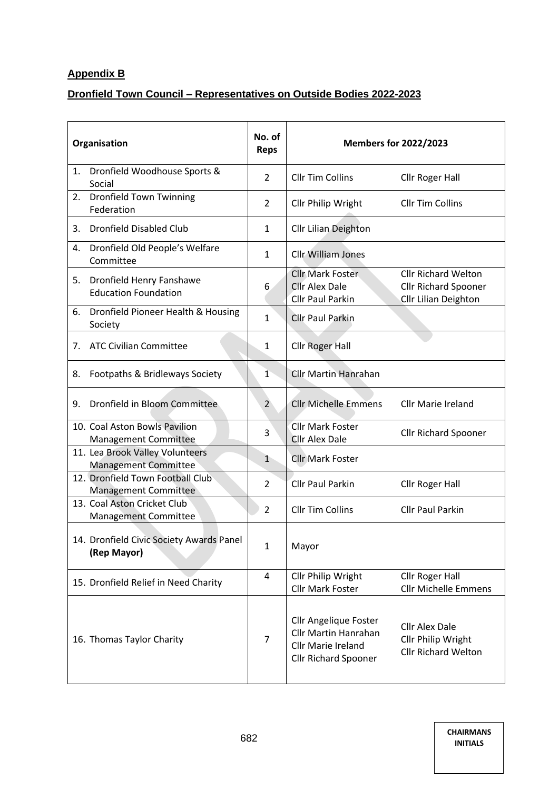# **Appendix B**

# **Dronfield Town Council – Representatives on Outside Bodies 2022-2023**

| Organisation                                                   | No. of<br><b>Reps</b> |                                                                                                                         | <b>Members for 2022/2023</b>                                               |
|----------------------------------------------------------------|-----------------------|-------------------------------------------------------------------------------------------------------------------------|----------------------------------------------------------------------------|
| Dronfield Woodhouse Sports &<br>1.<br>Social                   | $\overline{2}$        | <b>Cllr Tim Collins</b>                                                                                                 | Cllr Roger Hall                                                            |
| <b>Dronfield Town Twinning</b><br>2.<br>Federation             | $\overline{2}$        | Cllr Philip Wright                                                                                                      | <b>Cllr Tim Collins</b>                                                    |
| <b>Dronfield Disabled Club</b><br>3.                           | 1                     | <b>Cllr Lilian Deighton</b>                                                                                             |                                                                            |
| Dronfield Old People's Welfare<br>4.<br>Committee              | 1                     | <b>Cllr William Jones</b>                                                                                               |                                                                            |
| Dronfield Henry Fanshawe<br>5.<br><b>Education Foundation</b>  | 6                     | <b>Cllr Mark Foster</b><br><b>Clir Alex Dale</b><br><b>Cllr Paul Parkin</b>                                             | <b>Cllr Richard Welton</b><br>Cllr Richard Spooner<br>Cllr Lilian Deighton |
| Dronfield Pioneer Health & Housing<br>6.<br>Society            | 1                     | <b>Cllr Paul Parkin</b>                                                                                                 |                                                                            |
| <b>ATC Civilian Committee</b><br>7.                            | 1                     | <b>Cllr Roger Hall</b>                                                                                                  |                                                                            |
| Footpaths & Bridleways Society<br>8.                           | $\mathbf{1}$          | <b>Cllr Martin Hanrahan</b>                                                                                             |                                                                            |
| Dronfield in Bloom Committee<br>9.                             | $\overline{2}$        | <b>Cllr Michelle Emmens</b>                                                                                             | <b>Cllr Marie Ireland</b>                                                  |
| 10. Coal Aston Bowls Pavilion<br><b>Management Committee</b>   | 3                     | <b>Cllr Mark Foster</b><br><b>Cllr Alex Dale</b>                                                                        | <b>Cllr Richard Spooner</b>                                                |
| 11. Lea Brook Valley Volunteers<br><b>Management Committee</b> | $\mathbf{1}$          | <b>Cllr Mark Foster</b>                                                                                                 |                                                                            |
| 12. Dronfield Town Football Club<br>Management Committee       | 2                     | <b>Cllr Paul Parkin</b>                                                                                                 | Cllr Roger Hall                                                            |
| 13. Coal Aston Cricket Club<br><b>Management Committee</b>     | $\overline{2}$        | <b>Cllr Tim Collins</b>                                                                                                 | <b>Cllr Paul Parkin</b>                                                    |
| 14. Dronfield Civic Society Awards Panel<br>(Rep Mayor)        | 1                     | Mayor                                                                                                                   |                                                                            |
| 15. Dronfield Relief in Need Charity                           | 4                     | Cllr Philip Wright<br><b>Cllr Mark Foster</b>                                                                           | <b>Cllr Roger Hall</b><br><b>Cllr Michelle Emmens</b>                      |
| 16. Thomas Taylor Charity                                      | 7                     | <b>Cllr Angelique Foster</b><br><b>Cllr Martin Hanrahan</b><br><b>Cllr Marie Ireland</b><br><b>Cllr Richard Spooner</b> | <b>Cllr Alex Dale</b><br>Cllr Philip Wright<br><b>Cllr Richard Welton</b>  |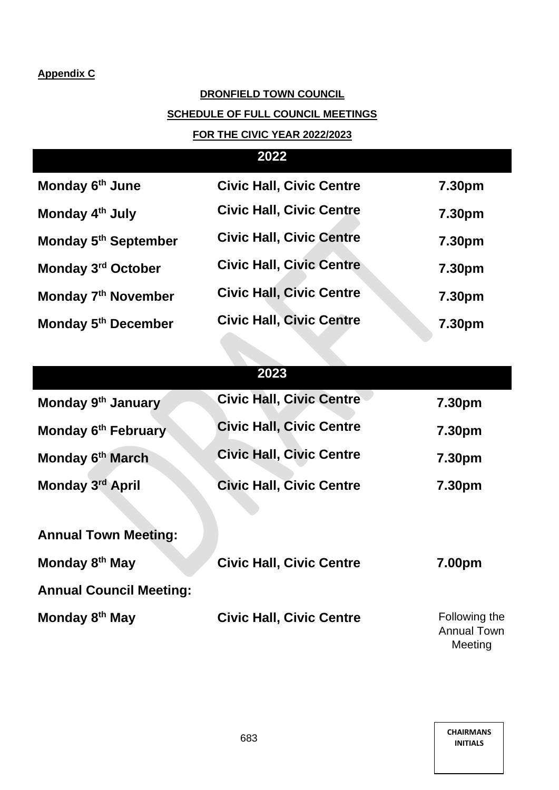# **Appendix C**

# **DRONFIELD TOWN COUNCIL**

# **SCHEDULE OF FULL COUNCIL MEETINGS**

# **FOR THE CIVIC YEAR 2022/2023**

# **2022**

| Monday 6 <sup>th</sup> June      | <b>Civic Hall, Civic Centre</b> | 7.30pm |
|----------------------------------|---------------------------------|--------|
| Monday 4 <sup>th</sup> July      | <b>Civic Hall, Civic Centre</b> | 7.30pm |
| Monday 5 <sup>th</sup> September | <b>Civic Hall, Civic Centre</b> | 7.30pm |
| Monday 3rd October               | <b>Civic Hall, Civic Centre</b> | 7.30pm |
| Monday 7 <sup>th</sup> November  | <b>Civic Hall, Civic Centre</b> | 7.30pm |
| Monday 5 <sup>th</sup> December  | <b>Civic Hall, Civic Centre</b> | 7.30pm |

# **2023**

| Monday 9 <sup>th</sup> January | <b>Civic Hall, Civic Centre</b> | 7.30pm |
|--------------------------------|---------------------------------|--------|
| Monday 6th February            | <b>Civic Hall, Civic Centre</b> | 7.30pm |
| Monday 6th March               | <b>Civic Hall, Civic Centre</b> | 7.30pm |
| Monday 3rd April               | <b>Civic Hall, Civic Centre</b> | 7.30pm |
|                                |                                 |        |
| <b>Annual Town Meeting:</b>    |                                 |        |
| Monday 8 <sup>th</sup> May     | <b>Civic Hall, Civic Centre</b> | 7.00pm |
|                                |                                 |        |
| <b>Annual Council Meeting:</b> |                                 |        |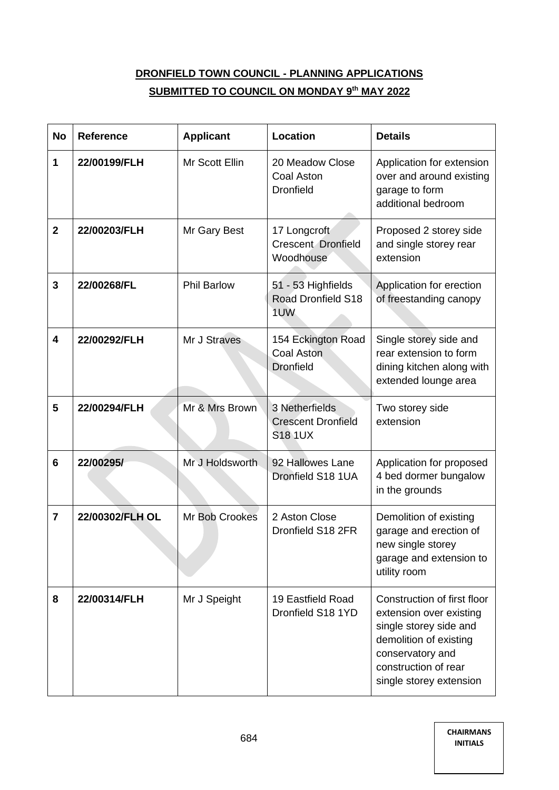# **DRONFIELD TOWN COUNCIL - PLANNING APPLICATIONS SUBMITTED TO COUNCIL ON MONDAY 9th MAY 2022**

| <b>No</b>      | <b>Reference</b> | <b>Applicant</b>   | Location                                                      | <b>Details</b>                                                                                                                                                                    |  |
|----------------|------------------|--------------------|---------------------------------------------------------------|-----------------------------------------------------------------------------------------------------------------------------------------------------------------------------------|--|
| 1              | 22/00199/FLH     | Mr Scott Ellin     | 20 Meadow Close<br>Coal Aston<br><b>Dronfield</b>             | Application for extension<br>over and around existing<br>garage to form<br>additional bedroom                                                                                     |  |
| $\mathbf 2$    | 22/00203/FLH     | Mr Gary Best       | 17 Longcroft<br><b>Crescent Dronfield</b><br>Woodhouse        | Proposed 2 storey side<br>and single storey rear<br>extension                                                                                                                     |  |
| 3              | 22/00268/FL      | <b>Phil Barlow</b> | 51 - 53 Highfields<br><b>Road Dronfield S18</b><br>1UW        | Application for erection<br>of freestanding canopy                                                                                                                                |  |
| 4              | 22/00292/FLH     | Mr J Straves       | 154 Eckington Road<br><b>Coal Aston</b><br><b>Dronfield</b>   | Single storey side and<br>rear extension to form<br>dining kitchen along with<br>extended lounge area                                                                             |  |
| 5              | 22/00294/FLH     | Mr & Mrs Brown     | 3 Netherfields<br><b>Crescent Dronfield</b><br><b>S18 1UX</b> | Two storey side<br>extension                                                                                                                                                      |  |
| 6              | 22/00295/        | Mr J Holdsworth    | 92 Hallowes Lane<br>Dronfield S18 1UA                         | Application for proposed<br>4 bed dormer bungalow<br>in the grounds                                                                                                               |  |
| $\overline{7}$ | 22/00302/FLH OL  | Mr Bob Crookes     | 2 Aston Close<br>Dronfield S18 2FR                            | Demolition of existing<br>garage and erection of<br>new single storey<br>garage and extension to<br>utility room                                                                  |  |
| 8              | 22/00314/FLH     | Mr J Speight       | 19 Eastfield Road<br>Dronfield S18 1YD                        | Construction of first floor<br>extension over existing<br>single storey side and<br>demolition of existing<br>conservatory and<br>construction of rear<br>single storey extension |  |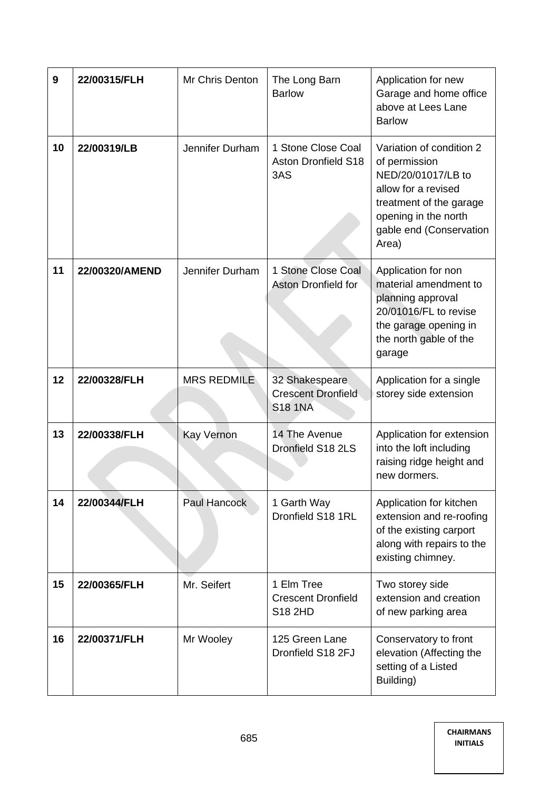| 9  | 22/00315/FLH   | Mr Chris Denton    | The Long Barn<br><b>Barlow</b>                                | Application for new<br>Garage and home office<br>above at Lees Lane<br><b>Barlow</b>                                                                                          |  |
|----|----------------|--------------------|---------------------------------------------------------------|-------------------------------------------------------------------------------------------------------------------------------------------------------------------------------|--|
| 10 | 22/00319/LB    | Jennifer Durham    | 1 Stone Close Coal<br><b>Aston Dronfield S18</b><br>3AS       | Variation of condition 2<br>of permission<br>NED/20/01017/LB to<br>allow for a revised<br>treatment of the garage<br>opening in the north<br>gable end (Conservation<br>Area) |  |
| 11 | 22/00320/AMEND | Jennifer Durham    | 1 Stone Close Coal<br><b>Aston Dronfield for</b>              | Application for non<br>material amendment to<br>planning approval<br>20/01016/FL to revise<br>the garage opening in<br>the north gable of the<br>garage                       |  |
| 12 | 22/00328/FLH   | <b>MRS REDMILE</b> | 32 Shakespeare<br><b>Crescent Dronfield</b><br><b>S18 1NA</b> | Application for a single<br>storey side extension                                                                                                                             |  |
| 13 | 22/00338/FLH   | <b>Kay Vernon</b>  | 14 The Avenue<br>Dronfield S18 2LS                            | Application for extension<br>into the loft including<br>raising ridge height and<br>new dormers.                                                                              |  |
| 14 | 22/00344/FLH   | Paul Hancock       | 1 Garth Way<br>Dronfield S18 1RL                              | Application for kitchen<br>extension and re-roofing<br>of the existing carport<br>along with repairs to the<br>existing chimney.                                              |  |
| 15 | 22/00365/FLH   | Mr. Seifert        | 1 Elm Tree<br><b>Crescent Dronfield</b><br>S18 2HD            | Two storey side<br>extension and creation<br>of new parking area                                                                                                              |  |
| 16 | 22/00371/FLH   | Mr Wooley          | 125 Green Lane<br>Dronfield S18 2FJ                           | Conservatory to front<br>elevation (Affecting the<br>setting of a Listed<br>Building)                                                                                         |  |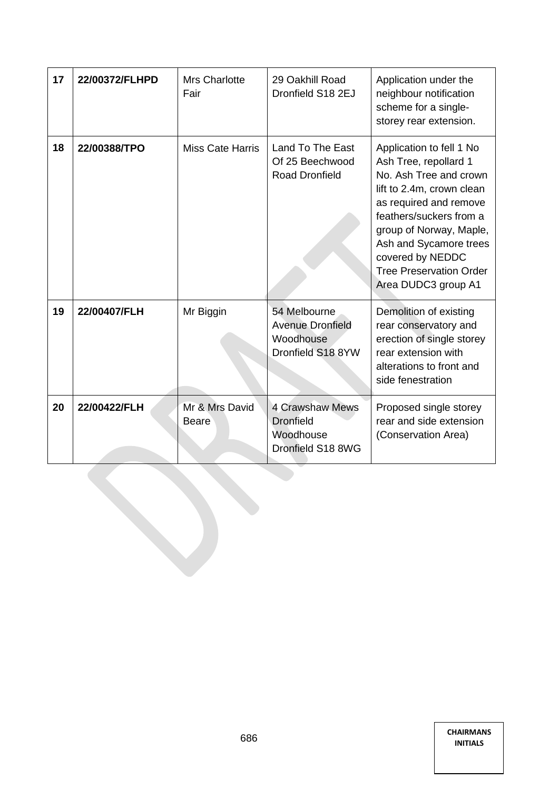| 17 | 22/00372/FLHPD | Mrs Charlotte<br>Fair          | 29 Oakhill Road<br>Dronfield S18 2EJ                                      | Application under the<br>neighbour notification<br>scheme for a single-<br>storey rear extension.                                                                                                                                                                                               |
|----|----------------|--------------------------------|---------------------------------------------------------------------------|-------------------------------------------------------------------------------------------------------------------------------------------------------------------------------------------------------------------------------------------------------------------------------------------------|
| 18 | 22/00388/TPO   | <b>Miss Cate Harris</b>        | Land To The East<br>Of 25 Beechwood<br><b>Road Dronfield</b>              | Application to fell 1 No<br>Ash Tree, repollard 1<br>No. Ash Tree and crown<br>lift to 2.4m, crown clean<br>as required and remove<br>feathers/suckers from a<br>group of Norway, Maple,<br>Ash and Sycamore trees<br>covered by NEDDC<br><b>Tree Preservation Order</b><br>Area DUDC3 group A1 |
| 19 | 22/00407/FLH   | Mr Biggin                      | 54 Melbourne<br><b>Avenue Dronfield</b><br>Woodhouse<br>Dronfield S18 8YW | Demolition of existing<br>rear conservatory and<br>erection of single storey<br>rear extension with<br>alterations to front and<br>side fenestration                                                                                                                                            |
| 20 | 22/00422/FLH   | Mr & Mrs David<br><b>Beare</b> | <b>4 Crawshaw Mews</b><br>Dronfield<br>Woodhouse<br>Dronfield S18 8WG     | Proposed single storey<br>rear and side extension<br>(Conservation Area)                                                                                                                                                                                                                        |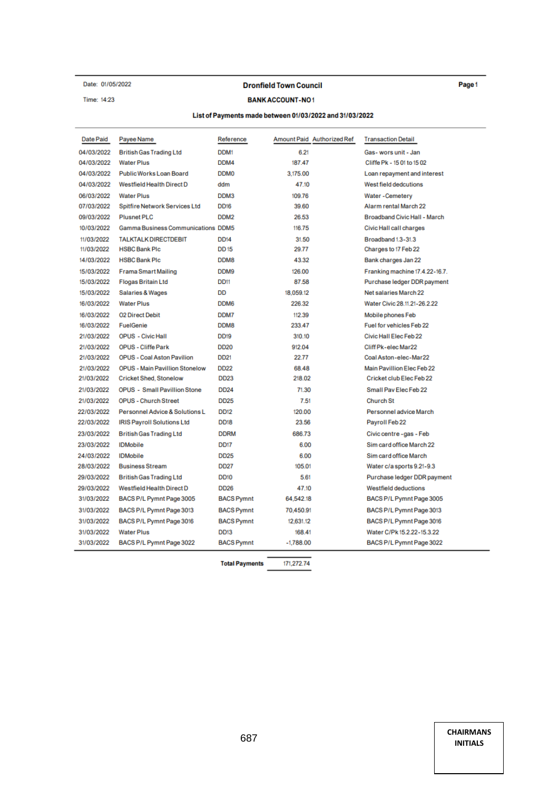#### Date: 01/05/2022

Time: 14:23

l,

#### **Dronfield Town Council**

#### **BANK ACCOUNT-NO1**

#### List of Payments made between 01/03/2022 and 31/03/2022

| <b>Date Paid</b> | Payee Name                                | Reference         | Amount Paid Authorized Ref | <b>Transaction Detail</b>      |
|------------------|-------------------------------------------|-------------------|----------------------------|--------------------------------|
| 04/03/2022       | <b>British Gas Trading Ltd</b>            | DDM1              | 6.21                       | Gas-wors unit - Jan            |
| 04/03/2022       | <b>Water Plus</b>                         | DDM4              | 187.47                     | Cliffe Pk - 15 01 to 15 02     |
| 04/03/2022       | Public Works Loan Board                   | <b>DDM0</b>       | 3.175.00                   | Loan repayment and interest    |
| 04/03/2022       | Westfield Health Direct D                 | ddm               | 47.10                      | West field dedcutions          |
| 06/03/2022       | <b>Water Plus</b>                         | DDM3              | 109.76                     | Water - Cemetery               |
| 07/03/2022       | <b>Spitfire Network Services Ltd</b>      | DD <sub>16</sub>  | 39.60                      | Alarm rental March 22          |
| 09/03/2022       | <b>Plusnet PLC</b>                        | DDM <sub>2</sub>  | 26.53                      | Broadband Civic Hall - March   |
| 10/03/2022       | <b>Gamma Business Communications DDM5</b> |                   | 116.75                     | Civic Hall call charges        |
| 11/03/2022       | <b>TALKTALK DIRECTDEBIT</b>               | <b>DD14</b>       | 31.50                      | Broadband 1.3-31.3             |
| 11/03/2022       | <b>HSBC Bank Plc</b>                      | <b>DD15</b>       | 29.77                      | Charges to 17 Feb 22           |
| 14/03/2022       | <b>HSBC Bank Plc</b>                      | DDM8              | 43.32                      | Bank charges Jan 22            |
| 15/03/2022       | <b>Frama Smart Mailing</b>                | DDM9              | 126.00                     | Franking machine 17.4.22-16.7. |
| 15/03/2022       | <b>Flogas Britain Ltd</b>                 | <b>DD11</b>       | 87.58                      | Purchase ledger DDR payment    |
| 15/03/2022       | Salaries & Wages                          | DD                | 18.059.12                  | Net salaries March 22          |
| 16/03/2022       | <b>Water Plus</b>                         | DDM <sub>6</sub>  | 226.32                     | Water Civic 28.11.21-26.2.22   |
| 16/03/2022       | <b>02 Direct Debit</b>                    | DDM7              | 112.39                     | Mobile phones Feb              |
| 16/03/2022       | <b>FuelGenie</b>                          | DDM8              | 233.47                     | Fuel for vehicles Feb 22       |
| 21/03/2022       | <b>OPUS</b> - Civic Hall                  | DD <sub>19</sub>  | 310.10                     | Civic Hall Elec Feb 22         |
| 21/03/2022       | <b>OPUS - Cliffe Park</b>                 | <b>DD20</b>       | 912.04                     | Cliff Pk-elec Mar22            |
| 21/03/2022       | <b>OPUS - Coal Aston Pavilion</b>         | DD <sub>21</sub>  | 22.77                      | Coal Aston-elec-Mar22          |
| 21/03/2022       | <b>OPUS - Main Pavillion Stonelow</b>     | <b>DD22</b>       | 68.48                      | Main Pavillion Elec Feb 22     |
| 21/03/2022       | <b>Cricket Shed, Stonelow</b>             | <b>DD23</b>       | 218.02                     | Cricket club Elec Feb 22       |
| 21/03/2022       | <b>OPUS - Small Pavillion Stone</b>       | <b>DD24</b>       | 71.30                      | Small Pav Elec Feb 22          |
| 21/03/2022       | <b>OPUS - Church Street</b>               | <b>DD25</b>       | 7.51                       | <b>Church St</b>               |
| 22/03/2022       | Personnel Advice & Solutions L            | DD <sub>12</sub>  | 120.00                     | Personnel advice March         |
| 22/03/2022       | IRIS Payroll Solutions Ltd                | <b>DD18</b>       | 23.56                      | Payroll Feb 22                 |
| 23/03/2022       | <b>British Gas Trading Ltd</b>            | <b>DDRM</b>       | 686.73                     | Civic centre -gas - Feb        |
| 23/03/2022       | <b>IDMobile</b>                           | DD <sub>17</sub>  | 6.00                       | Sim card office March 22       |
| 24/03/2022       | <b>IDMobile</b>                           | <b>DD25</b>       | 6.00                       | Sim card office March          |
| 28/03/2022       | <b>Business Stream</b>                    | <b>DD27</b>       | 105.01                     | Water c/a sports 9.21-9.3      |
| 29/03/2022       | <b>British Gas Trading Ltd</b>            | DD <sub>10</sub>  | 5.61                       | Purchase ledger DDR payment    |
| 29/03/2022       | Westfield Health Direct D                 | <b>DD26</b>       | 47.10                      | <b>Westfield deductions</b>    |
| 31/03/2022       | BACS P/L Pymnt Page 3005                  | <b>BACS Pymnt</b> | 64,542.18                  | BACS P/L Pymnt Page 3005       |
| 31/03/2022       | BACS P/L Pymnt Page 3013                  | <b>BACS Pymnt</b> | 70,450.91                  | BACS P/L Pymnt Page 3013       |
| 31/03/2022       | BACS P/L Pymnt Page 3016                  | <b>BACS Pymnt</b> | 12,631.12                  | BACS P/L Pymnt Page 3016       |
| 31/03/2022       | <b>Water Plus</b>                         | DD <sub>13</sub>  | 168.41                     | Water C/Pk 15.2.22-15.3.22     |
| 31/03/2022       | BACS P/L Pymnt Page 3022                  | <b>BACS Pymnt</b> | $-1,788.00$                | BACS P/L Pymnt Page 3022       |
|                  |                                           |                   |                            |                                |

171,272.74 **Total Payments** 

> <sup>687</sup> **CHAIRMANS INITIALS**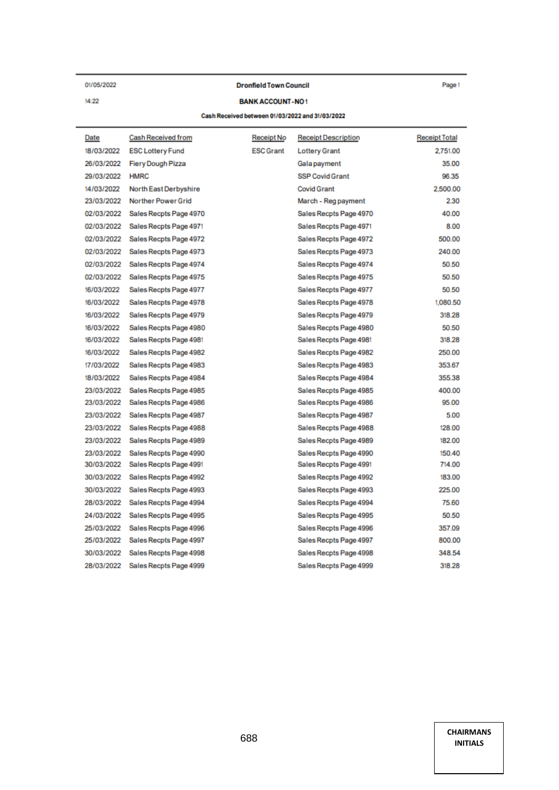01/05/2022

 $14:22$ 

#### **Dronfield Town Council**

Page 1

#### **BANK ACCOUNT-NO1**

#### Cash Received between 01/03/2022 and 31/03/2022

| Date       | Cash Received from        | Receipt No       | <b>Receipt Description</b> | <b>Receipt Total</b> |
|------------|---------------------------|------------------|----------------------------|----------------------|
| 18/03/2022 | <b>ESC Lottery Fund</b>   | <b>ESC Grant</b> | <b>Lottery Grant</b>       | 2,751.00             |
| 26/03/2022 | <b>Fiery Dough Pizza</b>  |                  | Gala payment               | 35.00                |
| 29/03/2022 | <b>HMRC</b>               |                  | <b>SSP Covid Grant</b>     | 96.35                |
| 14/03/2022 | North East Derbyshire     |                  | <b>Covid Grant</b>         | 2,500.00             |
| 23/03/2022 | <b>Norther Power Grid</b> |                  | March - Reg payment        | 2.30                 |
| 02/03/2022 | Sales Recpts Page 4970    |                  | Sales Recpts Page 4970     | 40.00                |
| 02/03/2022 | Sales Recpts Page 4971    |                  | Sales Recpts Page 4971     | 8.00                 |
| 02/03/2022 | Sales Recpts Page 4972    |                  | Sales Recpts Page 4972     | 500.00               |
| 02/03/2022 | Sales Recpts Page 4973    |                  | Sales Recpts Page 4973     | 240.00               |
| 02/03/2022 | Sales Recpts Page 4974    |                  | Sales Recpts Page 4974     | 50.50                |
| 02/03/2022 | Sales Recpts Page 4975    |                  | Sales Recpts Page 4975     | 50.50                |
| 16/03/2022 | Sales Recpts Page 4977    |                  | Sales Recpts Page 4977     | 50.50                |
| 16/03/2022 | Sales Recpts Page 4978    |                  | Sales Recpts Page 4978     | 1,080.50             |
| 16/03/2022 | Sales Recpts Page 4979    |                  | Sales Recpts Page 4979     | 318.28               |
| 16/03/2022 | Sales Recpts Page 4980    |                  | Sales Recpts Page 4980     | 50.50                |
| 16/03/2022 | Sales Recpts Page 4981    |                  | Sales Recpts Page 4981     | 318.28               |
| 16/03/2022 | Sales Recpts Page 4982    |                  | Sales Recpts Page 4982     | 250.00               |
| 17/03/2022 | Sales Recpts Page 4983    |                  | Sales Recpts Page 4983     | 353.67               |
| 18/03/2022 | Sales Recpts Page 4984    |                  | Sales Recpts Page 4984     | 355.38               |
| 23/03/2022 | Sales Recpts Page 4985    |                  | Sales Recpts Page 4985     | 400.00               |
| 23/03/2022 | Sales Recpts Page 4986    |                  | Sales Recpts Page 4986     | 95.00                |
| 23/03/2022 | Sales Recpts Page 4987    |                  | Sales Recpts Page 4987     | 5.00                 |
| 23/03/2022 | Sales Recpts Page 4988    |                  | Sales Recpts Page 4988     | 128.00               |
| 23/03/2022 | Sales Recpts Page 4989    |                  | Sales Recpts Page 4989     | 182.00               |
| 23/03/2022 | Sales Recpts Page 4990    |                  | Sales Recpts Page 4990     | 150.40               |
| 30/03/2022 | Sales Recpts Page 4991    |                  | Sales Recpts Page 4991     | 714.00               |
| 30/03/2022 | Sales Recpts Page 4992    |                  | Sales Recpts Page 4992     | 183.00               |
| 30/03/2022 | Sales Recpts Page 4993    |                  | Sales Recpts Page 4993     | 225.00               |
| 28/03/2022 | Sales Recpts Page 4994    |                  | Sales Recpts Page 4994     | 75.60                |
| 24/03/2022 | Sales Recpts Page 4995    |                  | Sales Recpts Page 4995     | 50.50                |
| 25/03/2022 | Sales Recpts Page 4996    |                  | Sales Recpts Page 4996     | 357.09               |
| 25/03/2022 | Sales Recpts Page 4997    |                  | Sales Recpts Page 4997     | 800.00               |
| 30/03/2022 | Sales Recpts Page 4998    |                  | Sales Recpts Page 4998     | 348.54               |
| 28/03/2022 | Sales Recpts Page 4999    |                  | Sales Recpts Page 4999     | 318.28               |
|            |                           |                  |                            |                      |